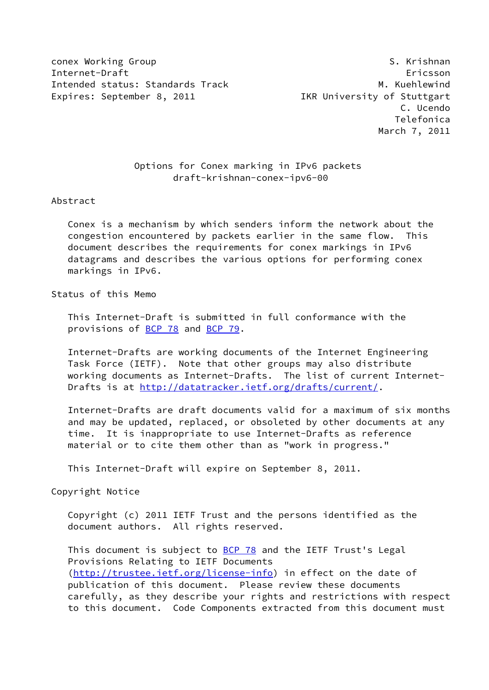conex Working Group S. Krishnan S. Krishnan S. Krishnan S. Krishnan S. Krishnan S. S. Krishnan S. S. Krishnan Internet-Draft Ericsson Intended status: Standards Track M. Kuehlewind Expires: September 8, 2011 **IKR** University of Stuttgart

# Options for Conex marking in IPv6 packets draft-krishnan-conex-ipv6-00

#### Abstract

 Conex is a mechanism by which senders inform the network about the congestion encountered by packets earlier in the same flow. This document describes the requirements for conex markings in IPv6 datagrams and describes the various options for performing conex markings in IPv6.

## Status of this Memo

 This Internet-Draft is submitted in full conformance with the provisions of **BCP 78** and **BCP 79**.

 Internet-Drafts are working documents of the Internet Engineering Task Force (IETF). Note that other groups may also distribute working documents as Internet-Drafts. The list of current Internet Drafts is at<http://datatracker.ietf.org/drafts/current/>.

 Internet-Drafts are draft documents valid for a maximum of six months and may be updated, replaced, or obsoleted by other documents at any time. It is inappropriate to use Internet-Drafts as reference material or to cite them other than as "work in progress."

This Internet-Draft will expire on September 8, 2011.

Copyright Notice

 Copyright (c) 2011 IETF Trust and the persons identified as the document authors. All rights reserved.

This document is subject to **[BCP 78](https://datatracker.ietf.org/doc/pdf/bcp78)** and the IETF Trust's Legal Provisions Relating to IETF Documents [\(http://trustee.ietf.org/license-info](http://trustee.ietf.org/license-info)) in effect on the date of publication of this document. Please review these documents carefully, as they describe your rights and restrictions with respect to this document. Code Components extracted from this document must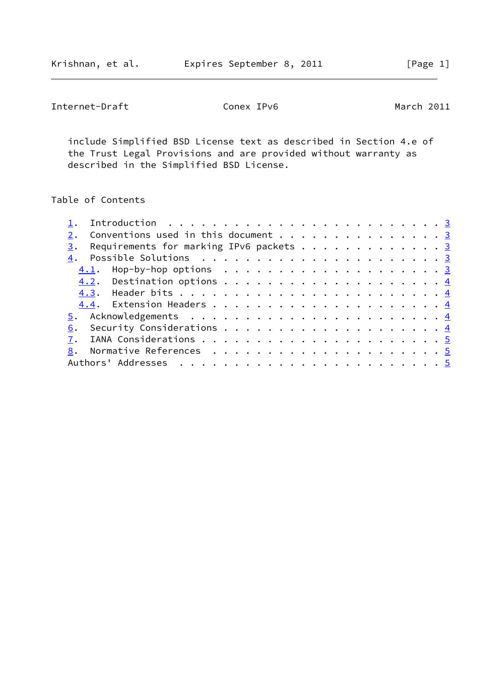Krishnan, et al. **Expires September 8, 2011**[Page 1]

Internet-Draft Conex IPv6 March 2011

 include Simplified BSD License text as described in Section 4.e of the Trust Legal Provisions and are provided without warranty as described in the Simplified BSD License.

# Table of Contents

| Conventions used in this document 3                    |  |
|--------------------------------------------------------|--|
| Requirements for marking IPv6 packets $\cdots$ 3<br>3. |  |
|                                                        |  |
|                                                        |  |
|                                                        |  |
|                                                        |  |
|                                                        |  |
|                                                        |  |
|                                                        |  |
|                                                        |  |
|                                                        |  |
|                                                        |  |
|                                                        |  |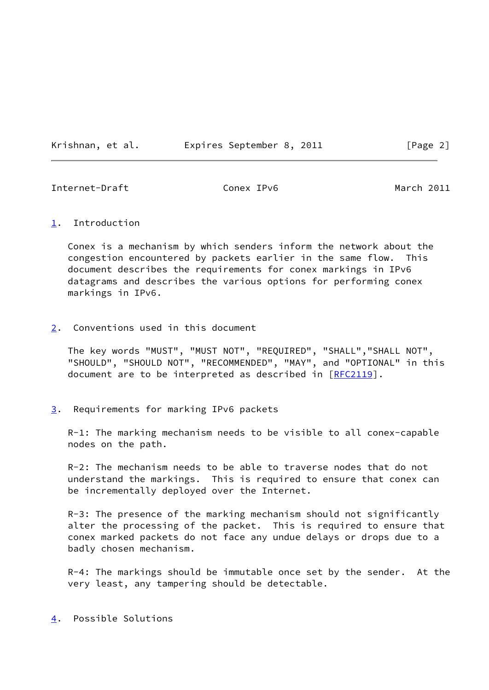Krishnan, et al. Expires September 8, 2011 [Page 2]

<span id="page-2-1"></span>Internet-Draft Conex IPv6 Conex 10 March 2011

## <span id="page-2-0"></span>[1](#page-2-0). Introduction

 Conex is a mechanism by which senders inform the network about the congestion encountered by packets earlier in the same flow. This document describes the requirements for conex markings in IPv6 datagrams and describes the various options for performing conex markings in IPv6.

# <span id="page-2-2"></span>[2](#page-2-2). Conventions used in this document

 The key words "MUST", "MUST NOT", "REQUIRED", "SHALL","SHALL NOT", "SHOULD", "SHOULD NOT", "RECOMMENDED", "MAY", and "OPTIONAL" in this document are to be interpreted as described in [\[RFC2119](https://datatracker.ietf.org/doc/pdf/rfc2119)].

<span id="page-2-3"></span>[3](#page-2-3). Requirements for marking IPv6 packets

 R-1: The marking mechanism needs to be visible to all conex-capable nodes on the path.

 R-2: The mechanism needs to be able to traverse nodes that do not understand the markings. This is required to ensure that conex can be incrementally deployed over the Internet.

 R-3: The presence of the marking mechanism should not significantly alter the processing of the packet. This is required to ensure that conex marked packets do not face any undue delays or drops due to a badly chosen mechanism.

R-4: The markings should be immutable once set by the sender. At the very least, any tampering should be detectable.

<span id="page-2-4"></span>[4](#page-2-4). Possible Solutions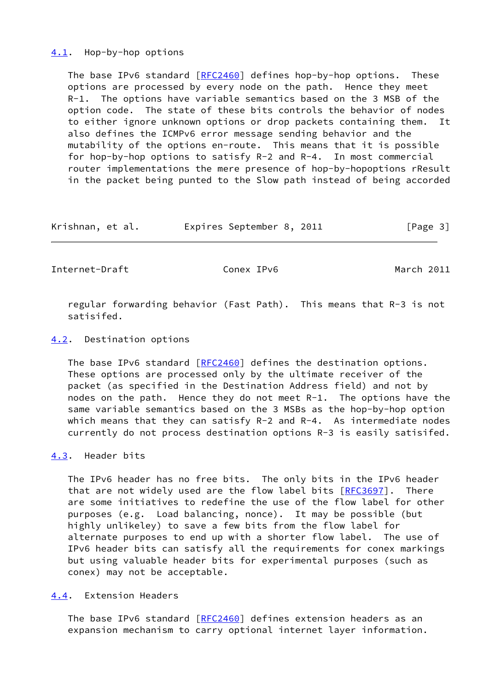#### <span id="page-3-0"></span>[4.1](#page-3-0). Hop-by-hop options

 The base IPv6 standard [\[RFC2460](https://datatracker.ietf.org/doc/pdf/rfc2460)] defines hop-by-hop options. These options are processed by every node on the path. Hence they meet R-1. The options have variable semantics based on the 3 MSB of the option code. The state of these bits controls the behavior of nodes to either ignore unknown options or drop packets containing them. It also defines the ICMPv6 error message sending behavior and the mutability of the options en-route. This means that it is possible for hop-by-hop options to satisfy R-2 and R-4. In most commercial router implementations the mere presence of hop-by-hopoptions rResult in the packet being punted to the Slow path instead of being accorded

| Krishnan, et al. | Expires September 8, 2011 |  | [Page 3] |
|------------------|---------------------------|--|----------|
|------------------|---------------------------|--|----------|

<span id="page-3-2"></span>Internet-Draft Conex IPv6 Conex 10 March 2011

 regular forwarding behavior (Fast Path). This means that R-3 is not satisifed.

#### <span id="page-3-1"></span>[4.2](#page-3-1). Destination options

The base IPv6 standard [\[RFC2460](https://datatracker.ietf.org/doc/pdf/rfc2460)] defines the destination options. These options are processed only by the ultimate receiver of the packet (as specified in the Destination Address field) and not by nodes on the path. Hence they do not meet  $R-1$ . The options have the same variable semantics based on the 3 MSBs as the hop-by-hop option which means that they can satisfy R-2 and R-4. As intermediate nodes currently do not process destination options R-3 is easily satisifed.

## <span id="page-3-3"></span>[4.3](#page-3-3). Header bits

 The IPv6 header has no free bits. The only bits in the IPv6 header that are not widely used are the flow label bits [\[RFC3697](https://datatracker.ietf.org/doc/pdf/rfc3697)]. There are some initiatives to redefine the use of the flow label for other purposes (e.g. Load balancing, nonce). It may be possible (but highly unlikeley) to save a few bits from the flow label for alternate purposes to end up with a shorter flow label. The use of IPv6 header bits can satisfy all the requirements for conex markings but using valuable header bits for experimental purposes (such as conex) may not be acceptable.

# <span id="page-3-4"></span>[4.4](#page-3-4). Extension Headers

 The base IPv6 standard [\[RFC2460](https://datatracker.ietf.org/doc/pdf/rfc2460)] defines extension headers as an expansion mechanism to carry optional internet layer information.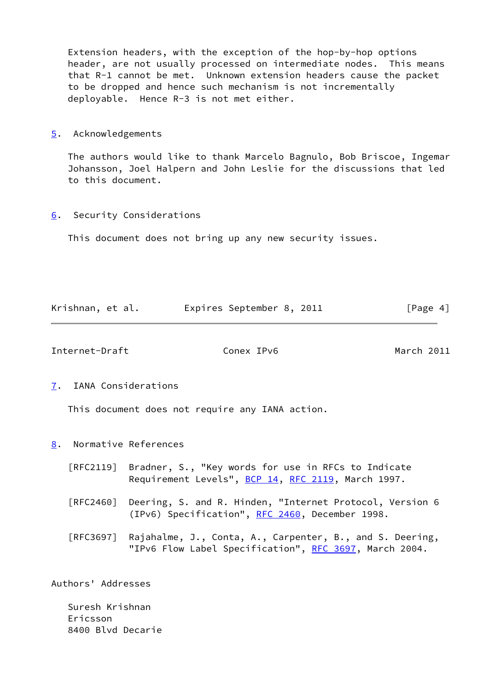Extension headers, with the exception of the hop-by-hop options header, are not usually processed on intermediate nodes. This means that R-1 cannot be met. Unknown extension headers cause the packet to be dropped and hence such mechanism is not incrementally deployable. Hence R-3 is not met either.

<span id="page-4-0"></span>[5](#page-4-0). Acknowledgements

 The authors would like to thank Marcelo Bagnulo, Bob Briscoe, Ingemar Johansson, Joel Halpern and John Leslie for the discussions that led to this document.

<span id="page-4-1"></span>[6](#page-4-1). Security Considerations

This document does not bring up any new security issues.

| Krishnan, et al. |  | Expires September 8, 2011 |  | [Page 4] |  |
|------------------|--|---------------------------|--|----------|--|
|                  |  |                           |  |          |  |

<span id="page-4-3"></span>Internet-Draft Conex IPv6 March 2011

<span id="page-4-2"></span>[7](#page-4-2). IANA Considerations

This document does not require any IANA action.

- <span id="page-4-4"></span>[8](#page-4-4). Normative References
	- [RFC2119] Bradner, S., "Key words for use in RFCs to Indicate Requirement Levels", [BCP 14](https://datatracker.ietf.org/doc/pdf/bcp14), [RFC 2119](https://datatracker.ietf.org/doc/pdf/rfc2119), March 1997.
	- [RFC2460] Deering, S. and R. Hinden, "Internet Protocol, Version 6 (IPv6) Specification", [RFC 2460](https://datatracker.ietf.org/doc/pdf/rfc2460), December 1998.
	- [RFC3697] Rajahalme, J., Conta, A., Carpenter, B., and S. Deering, "IPv6 Flow Label Specification", [RFC 3697,](https://datatracker.ietf.org/doc/pdf/rfc3697) March 2004.

Authors' Addresses

 Suresh Krishnan Ericsson 8400 Blvd Decarie